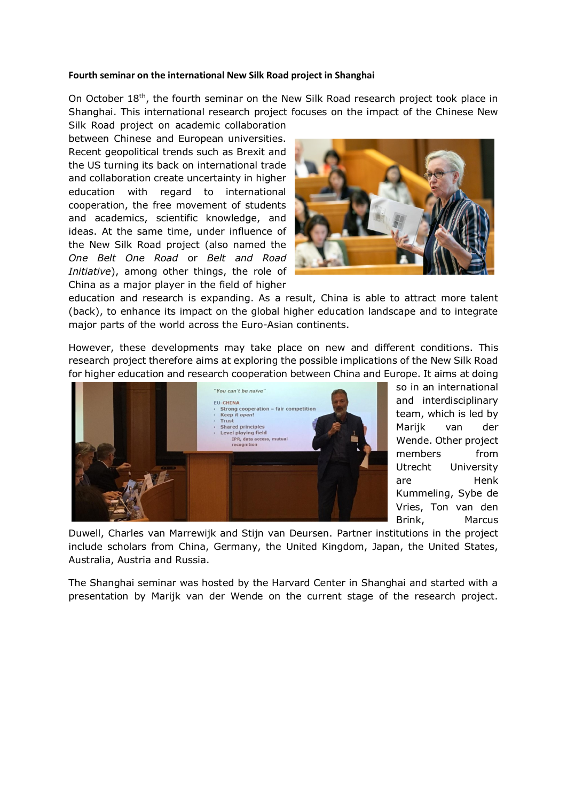## **Fourth seminar on the international New Silk Road project in Shanghai**

On October 18<sup>th</sup>, the fourth seminar on the New Silk Road research project took place in Shanghai. This international research project focuses on the impact of the Chinese New Silk Road project on academic collaboration

between Chinese and European universities. Recent geopolitical trends such as Brexit and the US turning its back on international trade and collaboration create uncertainty in higher education with regard to international cooperation, the free movement of students and academics, scientific knowledge, and ideas. At the same time, under influence of the New Silk Road project (also named the *One Belt One Road* or *Belt and Road Initiative*), among other things, the role of China as a major player in the field of higher



education and research is expanding. As a result, China is able to attract more talent (back), to enhance its impact on the global higher education landscape and to integrate major parts of the world across the Euro-Asian continents.

However, these developments may take place on new and different conditions. This research project therefore aims at exploring the possible implications of the New Silk Road for higher education and research cooperation between China and Europe. It aims at doing



so in an international and interdisciplinary team, which is led by Marijk van der Wende. Other project members from Utrecht University are Henk Kummeling, Sybe de Vries, Ton van den Brink, Marcus

Duwell, Charles van Marrewijk and Stijn van Deursen. Partner institutions in the project include scholars from China, Germany, the United Kingdom, Japan, the United States, Australia, Austria and Russia.

The Shanghai seminar was hosted by the Harvard Center in Shanghai and started with a presentation by Marijk van der Wende on the current stage of the research project.